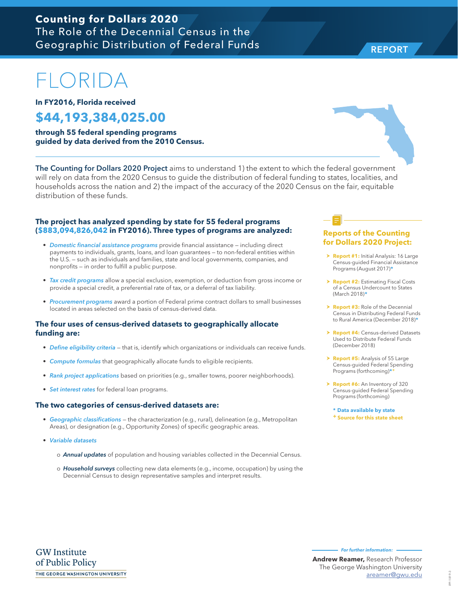# FLORIDA

**In FY2016, Florida received**

**\$44,193,384,025.00 through 55 federal spending programs guided by data derived from the 2010 Census.**

The Counting for Dollars 2020 Project aims to understand 1) the extent to which the federal government will rely on data from the 2020 Census to guide the distribution of federal funding to states, localities, and households across the nation and 2) the impact of the accuracy of the 2020 Census on the fair, equitable distribution of these funds.

## **The project has analyzed spending by state for 55 federal programs (\$883,094,826,042 in FY2016). Three types of programs are analyzed:**

- *Domestic financial assistance programs* provide financial assistance including direct payments to individuals, grants, loans, and loan guarantees — to non-federal entities within the U.S. — such as individuals and families, state and local governments, companies, and nonprofits — in order to fulfill a public purpose.
- *Tax credit programs* allow a special exclusion, exemption, or deduction from gross income or provide a special credit, a preferential rate of tax, or a deferral of tax liability.
- *Procurement programs* award a portion of Federal prime contract dollars to small businesses located in areas selected on the basis of census-derived data.

#### **The four uses of census-derived datasets to geographically allocate funding are:**

- *Define eligibility criteria* that is, identify which organizations or individuals can receive funds.
- *Compute formulas* that geographically allocate funds to eligible recipients.
- *Rank project applications* based on priorities (e.g., smaller towns, poorer neighborhoods).
- *Set interest rates* for federal loan programs.

#### **The two categories of census-derived datasets are:**

- *Geographic classifications* the characterization (e.g., rural), delineation (e.g., Metropolitan Areas), or designation (e.g., Opportunity Zones) of specific geographic areas.
- *Variable datasets* 
	- o *Annual updates* of population and housing variables collected in the Decennial Census.
	- o *Household surveys* collecting new data elements (e.g., income, occupation) by using the Decennial Census to design representative samples and interpret results.

## **Reports of the Counting for Dollars 2020 Project:**

- **> Report #1:** Initial Analysis: 16 Large Census-guided Financial Assistance Programs (August 2017)**\***
- **h Report #2: Estimating Fiscal Costs** of a Census Undercount to States (March 2018)**\***
- **Report #3:** Role of the Decennial Census in Distributing Federal Funds to Rural America (December 2018)**\***
- **Report #4: Census-derived Datasets** Used to Distribute Federal Funds (December 2018)
- > **Report #5:** Analysis of 55 Large Census-guided Federal Spending Programs (forthcoming)**\*+**
- > **Report #6:** An Inventory of 320 Census-guided Federal Spending Programs (forthcoming)

**\* Data available by state + Source for this state sheet**



REPORT

**For further information:**